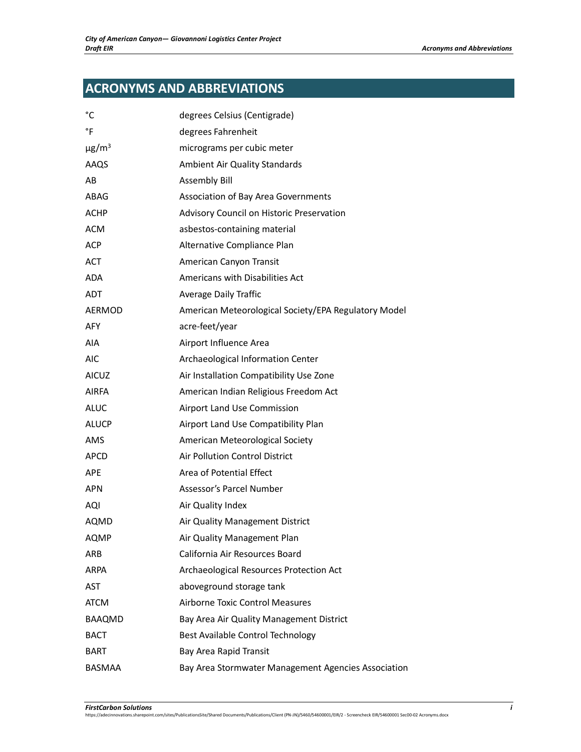## **ACRONYMS AND ABBREVIATIONS**

| °C                     | degrees Celsius (Centigrade)                         |
|------------------------|------------------------------------------------------|
| °F                     | degrees Fahrenheit                                   |
| $\mu$ g/m <sup>3</sup> | micrograms per cubic meter                           |
| AAQS                   | <b>Ambient Air Quality Standards</b>                 |
| AB                     | <b>Assembly Bill</b>                                 |
| ABAG                   | <b>Association of Bay Area Governments</b>           |
| <b>ACHP</b>            | Advisory Council on Historic Preservation            |
| <b>ACM</b>             | asbestos-containing material                         |
| <b>ACP</b>             | Alternative Compliance Plan                          |
| <b>ACT</b>             | American Canyon Transit                              |
| <b>ADA</b>             | Americans with Disabilities Act                      |
| <b>ADT</b>             | <b>Average Daily Traffic</b>                         |
| AERMOD                 | American Meteorological Society/EPA Regulatory Model |
| <b>AFY</b>             | acre-feet/year                                       |
| AIA                    | Airport Influence Area                               |
| <b>AIC</b>             | Archaeological Information Center                    |
| <b>AICUZ</b>           | Air Installation Compatibility Use Zone              |
| <b>AIRFA</b>           | American Indian Religious Freedom Act                |
| <b>ALUC</b>            | Airport Land Use Commission                          |
| <b>ALUCP</b>           | Airport Land Use Compatibility Plan                  |
| AMS                    | American Meteorological Society                      |
| APCD                   | Air Pollution Control District                       |
| <b>APE</b>             | Area of Potential Effect                             |
| <b>APN</b>             | Assessor's Parcel Number                             |
| AQI                    | Air Quality Index                                    |
| AQMD                   | Air Quality Management District                      |
| <b>AQMP</b>            | Air Quality Management Plan                          |
| ARB                    | California Air Resources Board                       |
| <b>ARPA</b>            | Archaeological Resources Protection Act              |
| <b>AST</b>             | aboveground storage tank                             |
| <b>ATCM</b>            | <b>Airborne Toxic Control Measures</b>               |
| BAAQMD                 | Bay Area Air Quality Management District             |
| <b>BACT</b>            | Best Available Control Technology                    |
| BART                   | Bay Area Rapid Transit                               |
| BASMAA                 | Bay Area Stormwater Management Agencies Association  |
|                        |                                                      |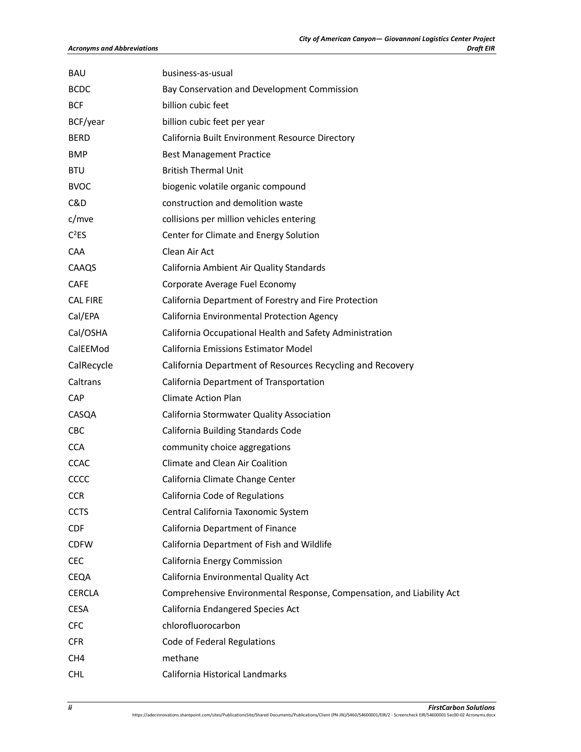| <b>BAU</b>        | business-as-usual                                                     |
|-------------------|-----------------------------------------------------------------------|
| <b>BCDC</b>       | Bay Conservation and Development Commission                           |
| <b>BCF</b>        | billion cubic feet                                                    |
| BCF/year          | billion cubic feet per year                                           |
| <b>BERD</b>       | California Built Environment Resource Directory                       |
| <b>BMP</b>        | <b>Best Management Practice</b>                                       |
| <b>BTU</b>        | <b>British Thermal Unit</b>                                           |
| <b>BVOC</b>       | biogenic volatile organic compound                                    |
| C&D               | construction and demolition waste                                     |
| c/mve             | collisions per million vehicles entering                              |
| C <sup>2</sup> ES | Center for Climate and Energy Solution                                |
| CAA               | Clean Air Act                                                         |
| CAAQS             | California Ambient Air Quality Standards                              |
| <b>CAFE</b>       | Corporate Average Fuel Economy                                        |
| <b>CAL FIRE</b>   | California Department of Forestry and Fire Protection                 |
| Cal/EPA           | California Environmental Protection Agency                            |
| Cal/OSHA          | California Occupational Health and Safety Administration              |
| CalEEMod          | <b>California Emissions Estimator Model</b>                           |
| CalRecycle        | California Department of Resources Recycling and Recovery             |
| Caltrans          | California Department of Transportation                               |
| <b>CAP</b>        | <b>Climate Action Plan</b>                                            |
| CASQA             | California Stormwater Quality Association                             |
| <b>CBC</b>        | California Building Standards Code                                    |
| <b>CCA</b>        | community choice aggregations                                         |
| <b>CCAC</b>       | Climate and Clean Air Coalition                                       |
| CCCC              | California Climate Change Center                                      |
| <b>CCR</b>        | California Code of Regulations                                        |
| <b>CCTS</b>       | Central California Taxonomic System                                   |
| <b>CDF</b>        | California Department of Finance                                      |
| <b>CDFW</b>       | California Department of Fish and Wildlife                            |
| <b>CFC</b>        | California Energy Commission                                          |
| CEQA              | California Environmental Quality Act                                  |
| <b>CERCLA</b>     | Comprehensive Environmental Response, Compensation, and Liability Act |
| <b>CESA</b>       | California Endangered Species Act                                     |
| <b>CFC</b>        | chlorofluorocarbon                                                    |
| <b>CFR</b>        | Code of Federal Regulations                                           |
| CH <sub>4</sub>   | methane                                                               |
| <b>CHL</b>        | California Historical Landmarks                                       |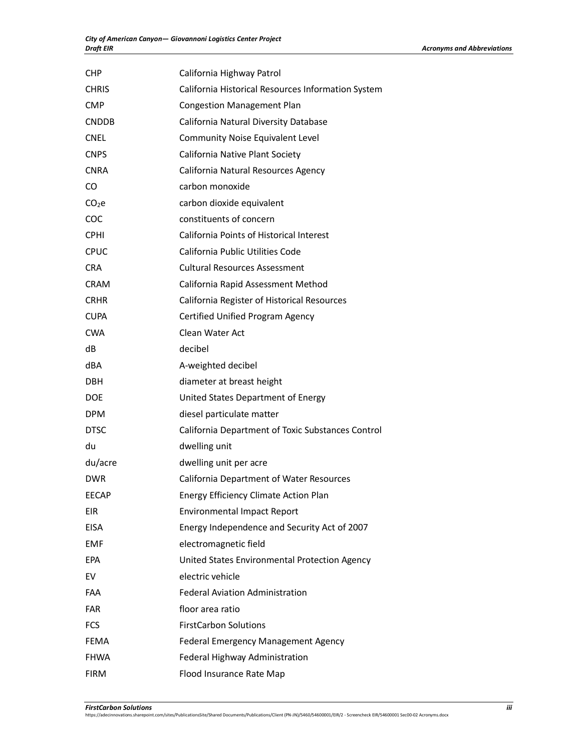| <b>CHP</b>        | California Highway Patrol                          |
|-------------------|----------------------------------------------------|
| <b>CHRIS</b>      | California Historical Resources Information System |
| CMP               | <b>Congestion Management Plan</b>                  |
| <b>CNDDB</b>      | California Natural Diversity Database              |
| <b>CNEL</b>       | <b>Community Noise Equivalent Level</b>            |
| <b>CNPS</b>       | California Native Plant Society                    |
| <b>CNRA</b>       | California Natural Resources Agency                |
| CO                | carbon monoxide                                    |
| CO <sub>2</sub> e | carbon dioxide equivalent                          |
| COC               | constituents of concern                            |
| <b>CPHI</b>       | California Points of Historical Interest           |
| <b>CPUC</b>       | California Public Utilities Code                   |
| <b>CRA</b>        | <b>Cultural Resources Assessment</b>               |
| <b>CRAM</b>       | California Rapid Assessment Method                 |
| <b>CRHR</b>       | California Register of Historical Resources        |
| <b>CUPA</b>       | Certified Unified Program Agency                   |
| <b>CWA</b>        | Clean Water Act                                    |
| dB                | decibel                                            |
| dBA               | A-weighted decibel                                 |
| DBH               | diameter at breast height                          |
| <b>DOE</b>        | United States Department of Energy                 |
| <b>DPM</b>        | diesel particulate matter                          |
| <b>DTSC</b>       | California Department of Toxic Substances Control  |
| du                | dwelling unit                                      |
| du/acre           | dwelling unit per acre                             |
| <b>DWR</b>        | California Department of Water Resources           |
| <b>EECAP</b>      | <b>Energy Efficiency Climate Action Plan</b>       |
| <b>EIR</b>        | <b>Environmental Impact Report</b>                 |
| <b>EISA</b>       | Energy Independence and Security Act of 2007       |
| <b>EMF</b>        | electromagnetic field                              |
| EPA               | United States Environmental Protection Agency      |
| EV                | electric vehicle                                   |
| <b>FAA</b>        | <b>Federal Aviation Administration</b>             |
| <b>FAR</b>        | floor area ratio                                   |
| <b>FCS</b>        | <b>FirstCarbon Solutions</b>                       |
| <b>FEMA</b>       | Federal Emergency Management Agency                |
| <b>FHWA</b>       | Federal Highway Administration                     |
| <b>FIRM</b>       | Flood Insurance Rate Map                           |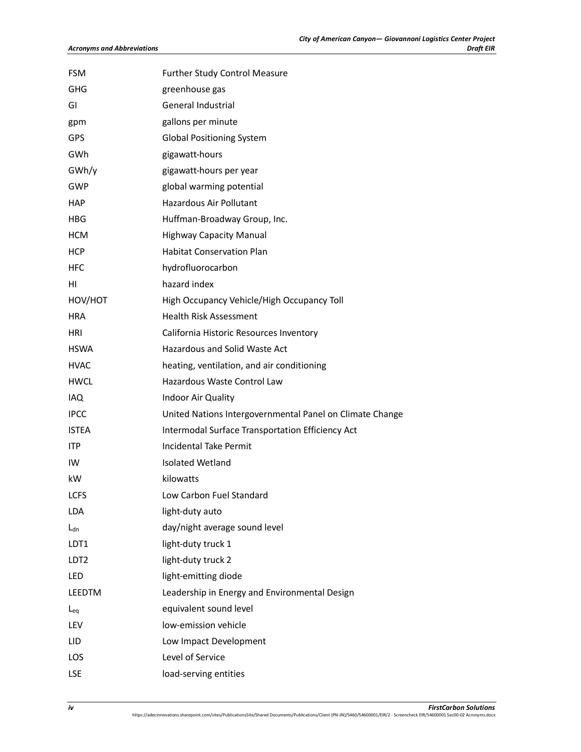| <b>FSM</b>       | <b>Further Study Control Measure</b>                     |
|------------------|----------------------------------------------------------|
| GHG              | greenhouse gas                                           |
| GI               | General Industrial                                       |
| gpm              | gallons per minute                                       |
| <b>GPS</b>       | <b>Global Positioning System</b>                         |
| GWh              | gigawatt-hours                                           |
| GWh/y            | gigawatt-hours per year                                  |
| <b>GWP</b>       | global warming potential                                 |
| <b>HAP</b>       | Hazardous Air Pollutant                                  |
| <b>HBG</b>       | Huffman-Broadway Group, Inc.                             |
| <b>HCM</b>       | <b>Highway Capacity Manual</b>                           |
| <b>HCP</b>       | <b>Habitat Conservation Plan</b>                         |
| <b>HFC</b>       | hydrofluorocarbon                                        |
| нı               | hazard index                                             |
| HOV/HOT          | High Occupancy Vehicle/High Occupancy Toll               |
| <b>HRA</b>       | <b>Health Risk Assessment</b>                            |
| <b>HRI</b>       | California Historic Resources Inventory                  |
| <b>HSWA</b>      | Hazardous and Solid Waste Act                            |
| <b>HVAC</b>      | heating, ventilation, and air conditioning               |
| HWCL             | Hazardous Waste Control Law                              |
| IAQ.             | Indoor Air Quality                                       |
| <b>IPCC</b>      | United Nations Intergovernmental Panel on Climate Change |
| <b>ISTEA</b>     | Intermodal Surface Transportation Efficiency Act         |
| <b>ITP</b>       | <b>Incidental Take Permit</b>                            |
| IW               | Isolated Wetland                                         |
| kW               | kilowatts                                                |
| <b>LCFS</b>      | Low Carbon Fuel Standard                                 |
| <b>LDA</b>       | light-duty auto                                          |
| $L_{dn}$         | day/night average sound level                            |
| LDT1             | light-duty truck 1                                       |
| LDT <sub>2</sub> | light-duty truck 2                                       |
| <b>LED</b>       | light-emitting diode                                     |
| LEEDTM           | Leadership in Energy and Environmental Design            |
| $L_{eq}$         | equivalent sound level                                   |
| LEV              | low-emission vehicle                                     |
| LID              | Low Impact Development                                   |
| LOS              | Level of Service                                         |
| <b>LSE</b>       | load-serving entities                                    |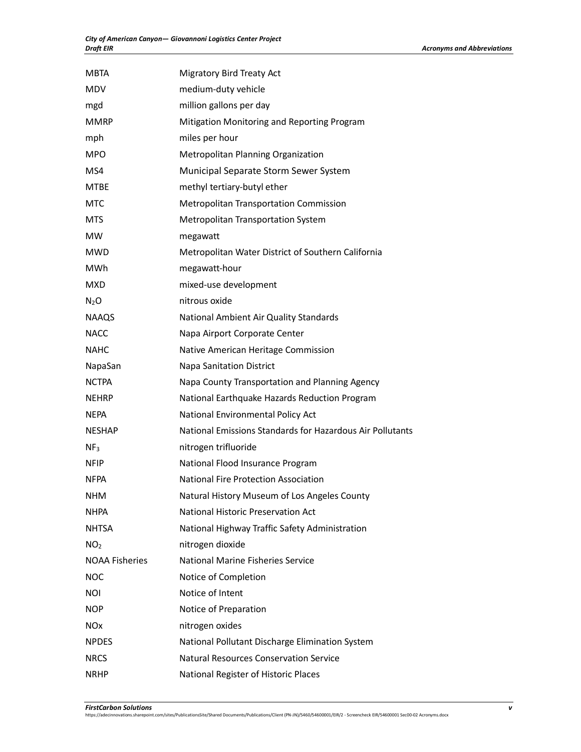| <b>MBTA</b>           | Migratory Bird Treaty Act                                 |
|-----------------------|-----------------------------------------------------------|
| <b>MDV</b>            | medium-duty vehicle                                       |
| mgd                   | million gallons per day                                   |
| <b>MMRP</b>           | Mitigation Monitoring and Reporting Program               |
| mph                   | miles per hour                                            |
| <b>MPO</b>            | Metropolitan Planning Organization                        |
| MS4                   | Municipal Separate Storm Sewer System                     |
| <b>MTBE</b>           | methyl tertiary-butyl ether                               |
| <b>MTC</b>            | <b>Metropolitan Transportation Commission</b>             |
| <b>MTS</b>            | <b>Metropolitan Transportation System</b>                 |
| <b>MW</b>             | megawatt                                                  |
| <b>MWD</b>            | Metropolitan Water District of Southern California        |
| <b>MWh</b>            | megawatt-hour                                             |
| <b>MXD</b>            | mixed-use development                                     |
| $N_2O$                | nitrous oxide                                             |
| <b>NAAQS</b>          | National Ambient Air Quality Standards                    |
| <b>NACC</b>           | Napa Airport Corporate Center                             |
| <b>NAHC</b>           | Native American Heritage Commission                       |
| NapaSan               | Napa Sanitation District                                  |
| <b>NCTPA</b>          | Napa County Transportation and Planning Agency            |
| <b>NEHRP</b>          | National Earthquake Hazards Reduction Program             |
| NEPA                  | National Environmental Policy Act                         |
| <b>NESHAP</b>         | National Emissions Standards for Hazardous Air Pollutants |
| NF <sub>3</sub>       | nitrogen trifluoride                                      |
| <b>NFIP</b>           | National Flood Insurance Program                          |
| <b>NFPA</b>           | <b>National Fire Protection Association</b>               |
| <b>NHM</b>            | Natural History Museum of Los Angeles County              |
| <b>NHPA</b>           | National Historic Preservation Act                        |
| <b>NHTSA</b>          | National Highway Traffic Safety Administration            |
| NO <sub>2</sub>       | nitrogen dioxide                                          |
| <b>NOAA Fisheries</b> | National Marine Fisheries Service                         |
| <b>NOC</b>            | Notice of Completion                                      |
| <b>NOI</b>            | Notice of Intent                                          |
| <b>NOP</b>            | Notice of Preparation                                     |
| <b>NO<sub>x</sub></b> | nitrogen oxides                                           |
| <b>NPDES</b>          | National Pollutant Discharge Elimination System           |
| <b>NRCS</b>           | <b>Natural Resources Conservation Service</b>             |
| <b>NRHP</b>           | National Register of Historic Places                      |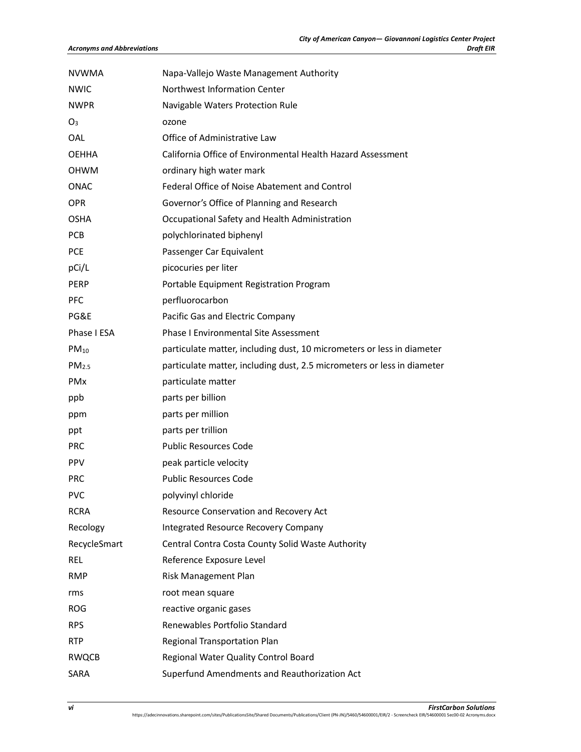| <b>NVWMA</b>      | Napa-Vallejo Waste Management Authority                                 |
|-------------------|-------------------------------------------------------------------------|
| <b>NWIC</b>       | Northwest Information Center                                            |
| <b>NWPR</b>       | Navigable Waters Protection Rule                                        |
| O <sub>3</sub>    | ozone                                                                   |
| OAL               | Office of Administrative Law                                            |
| <b>OEHHA</b>      | California Office of Environmental Health Hazard Assessment             |
| <b>OHWM</b>       | ordinary high water mark                                                |
| <b>ONAC</b>       | Federal Office of Noise Abatement and Control                           |
| <b>OPR</b>        | Governor's Office of Planning and Research                              |
| <b>OSHA</b>       | Occupational Safety and Health Administration                           |
| <b>PCB</b>        | polychlorinated biphenyl                                                |
| <b>PCE</b>        | Passenger Car Equivalent                                                |
| pCi/L             | picocuries per liter                                                    |
| PERP              | Portable Equipment Registration Program                                 |
| <b>PFC</b>        | perfluorocarbon                                                         |
| PG&E              | Pacific Gas and Electric Company                                        |
| Phase I ESA       | <b>Phase I Environmental Site Assessment</b>                            |
| $PM_{10}$         | particulate matter, including dust, 10 micrometers or less in diameter  |
| PM <sub>2.5</sub> | particulate matter, including dust, 2.5 micrometers or less in diameter |
| PMx               | particulate matter                                                      |
| ppb               | parts per billion                                                       |
| ppm               | parts per million                                                       |
| ppt               | parts per trillion                                                      |
| <b>PRC</b>        | <b>Public Resources Code</b>                                            |
| <b>PPV</b>        | peak particle velocity                                                  |
| <b>PRC</b>        | <b>Public Resources Code</b>                                            |
| <b>PVC</b>        | polyvinyl chloride                                                      |
| <b>RCRA</b>       | Resource Conservation and Recovery Act                                  |
| Recology          | Integrated Resource Recovery Company                                    |
| RecycleSmart      | Central Contra Costa County Solid Waste Authority                       |
| <b>REL</b>        | Reference Exposure Level                                                |
| <b>RMP</b>        | Risk Management Plan                                                    |
| rms               | root mean square                                                        |
| <b>ROG</b>        | reactive organic gases                                                  |
| <b>RPS</b>        | Renewables Portfolio Standard                                           |
| <b>RTP</b>        | Regional Transportation Plan                                            |
| <b>RWQCB</b>      | Regional Water Quality Control Board                                    |
| SARA              | Superfund Amendments and Reauthorization Act                            |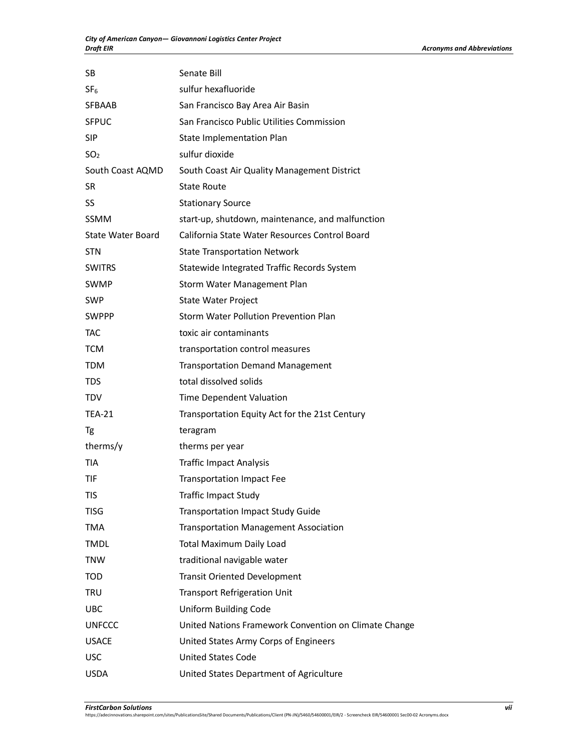| <b>SB</b>         | Senate Bill                                           |
|-------------------|-------------------------------------------------------|
| SF <sub>6</sub>   | sulfur hexafluoride                                   |
| SFBAAB            | San Francisco Bay Area Air Basin                      |
| <b>SFPUC</b>      | San Francisco Public Utilities Commission             |
| SIP               | State Implementation Plan                             |
| SO <sub>2</sub>   | sulfur dioxide                                        |
| South Coast AQMD  | South Coast Air Quality Management District           |
| <b>SR</b>         | <b>State Route</b>                                    |
| <b>SS</b>         | <b>Stationary Source</b>                              |
| <b>SSMM</b>       | start-up, shutdown, maintenance, and malfunction      |
| State Water Board | California State Water Resources Control Board        |
| <b>STN</b>        | <b>State Transportation Network</b>                   |
| <b>SWITRS</b>     | Statewide Integrated Traffic Records System           |
| <b>SWMP</b>       | Storm Water Management Plan                           |
| <b>SWP</b>        | State Water Project                                   |
| <b>SWPPP</b>      | Storm Water Pollution Prevention Plan                 |
| TAC               | toxic air contaminants                                |
| <b>TCM</b>        | transportation control measures                       |
| TDM               | <b>Transportation Demand Management</b>               |
| <b>TDS</b>        | total dissolved solids                                |
| <b>TDV</b>        | Time Dependent Valuation                              |
| <b>TEA-21</b>     | Transportation Equity Act for the 21st Century        |
| Tg                | teragram                                              |
| therms/y          | therms per year                                       |
| <b>TIA</b>        | <b>Traffic Impact Analysis</b>                        |
| <b>TIF</b>        | <b>Transportation Impact Fee</b>                      |
| TIS               | <b>Traffic Impact Study</b>                           |
| <b>TISG</b>       | <b>Transportation Impact Study Guide</b>              |
| <b>TMA</b>        | <b>Transportation Management Association</b>          |
| <b>TMDL</b>       | <b>Total Maximum Daily Load</b>                       |
| <b>TNW</b>        | traditional navigable water                           |
| <b>TOD</b>        | <b>Transit Oriented Development</b>                   |
| <b>TRU</b>        | <b>Transport Refrigeration Unit</b>                   |
| <b>UBC</b>        | <b>Uniform Building Code</b>                          |
| <b>UNFCCC</b>     | United Nations Framework Convention on Climate Change |
| <b>USACE</b>      | United States Army Corps of Engineers                 |
| <b>USC</b>        | <b>United States Code</b>                             |
| <b>USDA</b>       | United States Department of Agriculture               |

*FirstCarbon Solutions vii* https://adecinnovations.sharepoint.com/sites/PublicationsSite/Shared Documents/Publications/Client (PN-JN)/5460/54600001/EIR/2 - Screencheck EIR/54600001 Sec00-02 Acronyms.docx